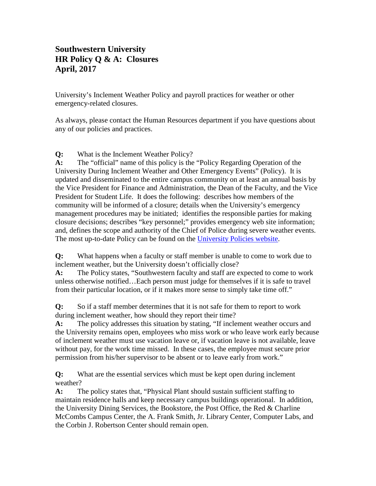## **Southwestern University HR Policy Q & A: Closures April, 2017**

University's Inclement Weather Policy and payroll practices for weather or other emergency-related closures.

As always, please contact the Human Resources department if you have questions about any of our policies and practices.

**Q:** What is the Inclement Weather Policy?

**A:** The "official" name of this policy is the "Policy Regarding Operation of the University During Inclement Weather and Other Emergency Events" (Policy). It is updated and disseminated to the entire campus community on at least an annual basis by the Vice President for Finance and Administration, the Dean of the Faculty, and the Vice President for Student Life. It does the following: describes how members of the community will be informed of a closure; details when the University's emergency management procedures may be initiated; identifies the responsible parties for making closure decisions; describes "key personnel;" provides emergency web site information; and, defines the scope and authority of the Chief of Police during severe weather events. The most up-to-date Policy can be found on the [University Policies website.](http://www.southwestern.edu/policy/)

**Q:** What happens when a faculty or staff member is unable to come to work due to inclement weather, but the University doesn't officially close?

**A:** The Policy states, "Southwestern faculty and staff are expected to come to work unless otherwise notified…Each person must judge for themselves if it is safe to travel from their particular location, or if it makes more sense to simply take time off."

**Q:** So if a staff member determines that it is not safe for them to report to work during inclement weather, how should they report their time?

**A:** The policy addresses this situation by stating, "If inclement weather occurs and the University remains open, employees who miss work or who leave work early because of inclement weather must use vacation leave or, if vacation leave is not available, leave without pay, for the work time missed. In these cases, the employee must secure prior permission from his/her supervisor to be absent or to leave early from work."

**Q:** What are the essential services which must be kept open during inclement weather?

**A:** The policy states that, "Physical Plant should sustain sufficient staffing to maintain residence halls and keep necessary campus buildings operational. In addition, the University Dining Services, the Bookstore, the Post Office, the Red & Charline McCombs Campus Center, the A. Frank Smith, Jr. Library Center, Computer Labs, and the Corbin J. Robertson Center should remain open.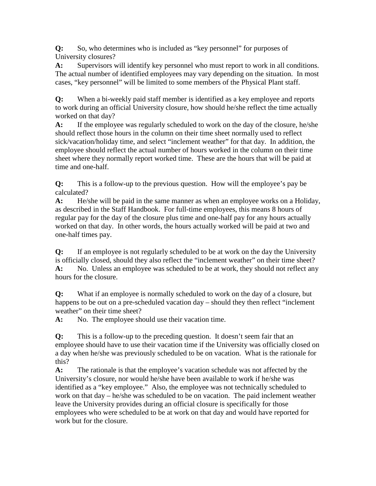**Q:** So, who determines who is included as "key personnel" for purposes of University closures?

**A:** Supervisors will identify key personnel who must report to work in all conditions. The actual number of identified employees may vary depending on the situation. In most cases, "key personnel" will be limited to some members of the Physical Plant staff.

**Q:** When a bi-weekly paid staff member is identified as a key employee and reports to work during an official University closure, how should he/she reflect the time actually worked on that day?

**A:** If the employee was regularly scheduled to work on the day of the closure, he/she should reflect those hours in the column on their time sheet normally used to reflect sick/vacation/holiday time, and select "inclement weather" for that day. In addition, the employee should reflect the actual number of hours worked in the column on their time sheet where they normally report worked time. These are the hours that will be paid at time and one-half.

**Q:** This is a follow-up to the previous question. How will the employee's pay be calculated?

**A:** He/she will be paid in the same manner as when an employee works on a Holiday, as described in the Staff Handbook. For full-time employees, this means 8 hours of regular pay for the day of the closure plus time and one-half pay for any hours actually worked on that day. In other words, the hours actually worked will be paid at two and one-half times pay.

**Q:** If an employee is not regularly scheduled to be at work on the day the University is officially closed, should they also reflect the "inclement weather" on their time sheet? **A:** No. Unless an employee was scheduled to be at work, they should not reflect any hours for the closure.

**Q:** What if an employee is normally scheduled to work on the day of a closure, but happens to be out on a pre-scheduled vacation day – should they then reflect "inclement" weather" on their time sheet?

A: No. The employee should use their vacation time.

**Q:** This is a follow-up to the preceding question. It doesn't seem fair that an employee should have to use their vacation time if the University was officially closed on a day when he/she was previously scheduled to be on vacation. What is the rationale for this?

**A:** The rationale is that the employee's vacation schedule was not affected by the University's closure, nor would he/she have been available to work if he/she was identified as a "key employee." Also, the employee was not technically scheduled to work on that day – he/she was scheduled to be on vacation. The paid inclement weather leave the University provides during an official closure is specifically for those employees who were scheduled to be at work on that day and would have reported for work but for the closure.